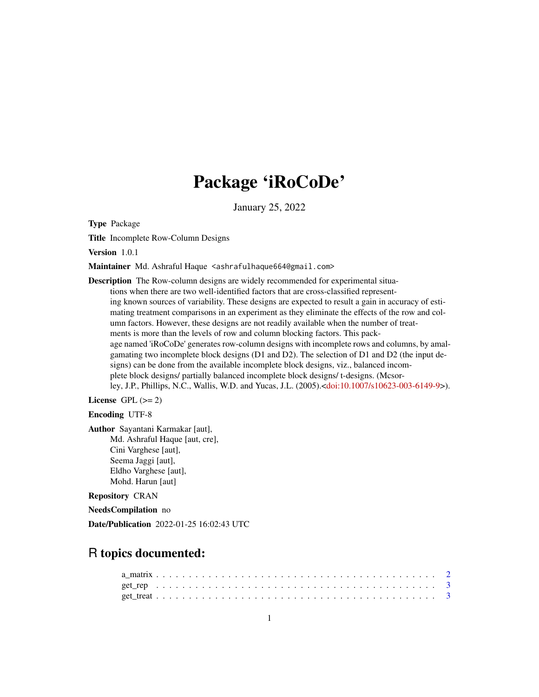## Package 'iRoCoDe'

January 25, 2022

Type Package

Title Incomplete Row-Column Designs

Version 1.0.1

Maintainer Md. Ashraful Haque <ashrafulhaque664@gmail.com>

Description The Row-column designs are widely recommended for experimental situations when there are two well-identified factors that are cross-classified representing known sources of variability. These designs are expected to result a gain in accuracy of estimating treatment comparisons in an experiment as they eliminate the effects of the row and column factors. However, these designs are not readily available when the number of treatments is more than the levels of row and column blocking factors. This package named 'iRoCoDe' generates row-column designs with incomplete rows and columns, by amalgamating two incomplete block designs (D1 and D2). The selection of D1 and D2 (the input designs) can be done from the available incomplete block designs, viz., balanced incomplete block designs/ partially balanced incomplete block designs/ t-designs. (Mcsorley, J.P., Phillips, N.C., Wallis, W.D. and Yucas, J.L. (2005).[<doi:10.1007/s10623-003-6149-9>](https://doi.org/10.1007/s10623-003-6149-9)).

License GPL  $(>= 2)$ 

#### Encoding UTF-8

Author Sayantani Karmakar [aut], Md. Ashraful Haque [aut, cre], Cini Varghese [aut], Seema Jaggi [aut], Eldho Varghese [aut], Mohd. Harun [aut]

#### Repository CRAN

NeedsCompilation no

Date/Publication 2022-01-25 16:02:43 UTC

### R topics documented: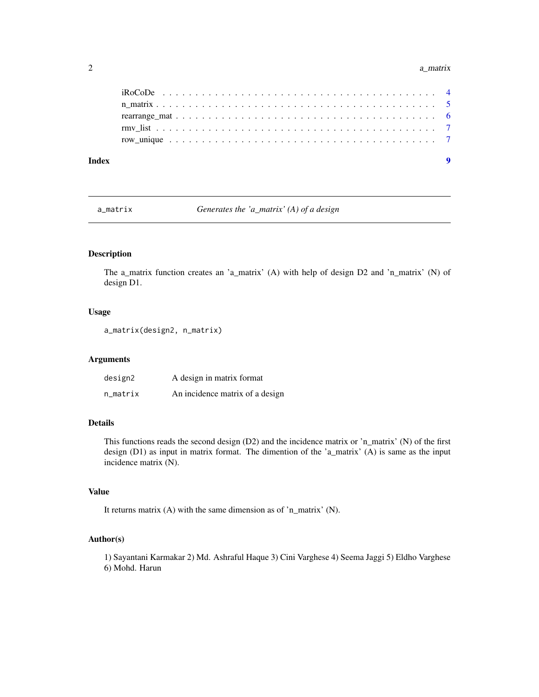#### <span id="page-1-0"></span>2 a\_matrix  $a_m$  and  $b_m$  and  $a_m$  and  $b_m$  and  $a_m$  and  $a_m$  and  $a_m$  and  $a_m$  and  $a_m$  and  $a_m$  and  $a_m$  and  $a_m$  and  $a_m$  and  $a_m$  and  $a_m$  and  $a_m$  and  $a_m$  and  $a_m$  and  $a_m$  and  $a_m$  and  $a_m$  and  $a_m$  and  $a_m$  and  $a_m$

| Index |  |  |  |  |  |  |  |  |  |  |  |  |  |  |  |  |  |  |  |
|-------|--|--|--|--|--|--|--|--|--|--|--|--|--|--|--|--|--|--|--|
|       |  |  |  |  |  |  |  |  |  |  |  |  |  |  |  |  |  |  |  |
|       |  |  |  |  |  |  |  |  |  |  |  |  |  |  |  |  |  |  |  |
|       |  |  |  |  |  |  |  |  |  |  |  |  |  |  |  |  |  |  |  |
|       |  |  |  |  |  |  |  |  |  |  |  |  |  |  |  |  |  |  |  |
|       |  |  |  |  |  |  |  |  |  |  |  |  |  |  |  |  |  |  |  |

a\_matrix *Generates the 'a\_matrix' (A) of a design*

#### Description

The a\_matrix function creates an 'a\_matrix' (A) with help of design D2 and 'n\_matrix' (N) of design D1.

#### Usage

```
a_matrix(design2, n_matrix)
```
#### Arguments

| design2  | A design in matrix format       |
|----------|---------------------------------|
| n_matrix | An incidence matrix of a design |

#### Details

This functions reads the second design (D2) and the incidence matrix or 'n\_matrix' (N) of the first design (D1) as input in matrix format. The dimention of the 'a\_matrix' (A) is same as the input incidence matrix (N).

#### Value

It returns matrix (A) with the same dimension as of 'n\_matrix' (N).

#### Author(s)

1) Sayantani Karmakar 2) Md. Ashraful Haque 3) Cini Varghese 4) Seema Jaggi 5) Eldho Varghese 6) Mohd. Harun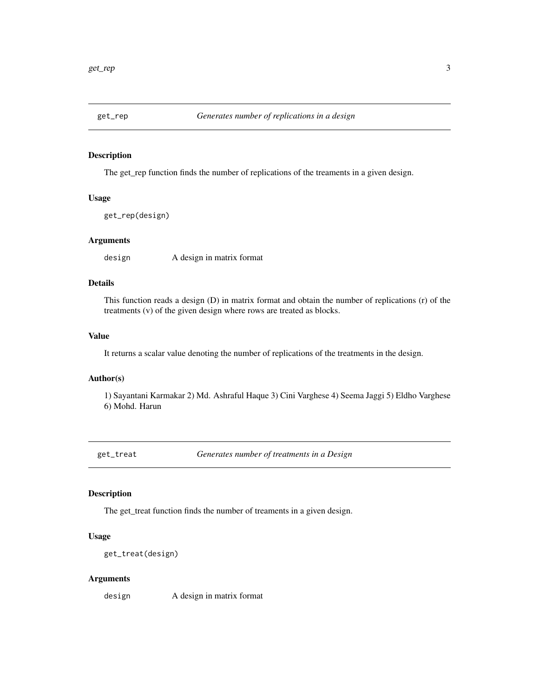<span id="page-2-0"></span>

#### Description

The get\_rep function finds the number of replications of the treaments in a given design.

#### Usage

get\_rep(design)

#### Arguments

design A design in matrix format

#### Details

This function reads a design (D) in matrix format and obtain the number of replications (r) of the treatments (v) of the given design where rows are treated as blocks.

#### Value

It returns a scalar value denoting the number of replications of the treatments in the design.

#### Author(s)

1) Sayantani Karmakar 2) Md. Ashraful Haque 3) Cini Varghese 4) Seema Jaggi 5) Eldho Varghese 6) Mohd. Harun

get\_treat *Generates number of treatments in a Design*

#### **Description**

The get\_treat function finds the number of treaments in a given design.

#### Usage

```
get_treat(design)
```
#### Arguments

design A design in matrix format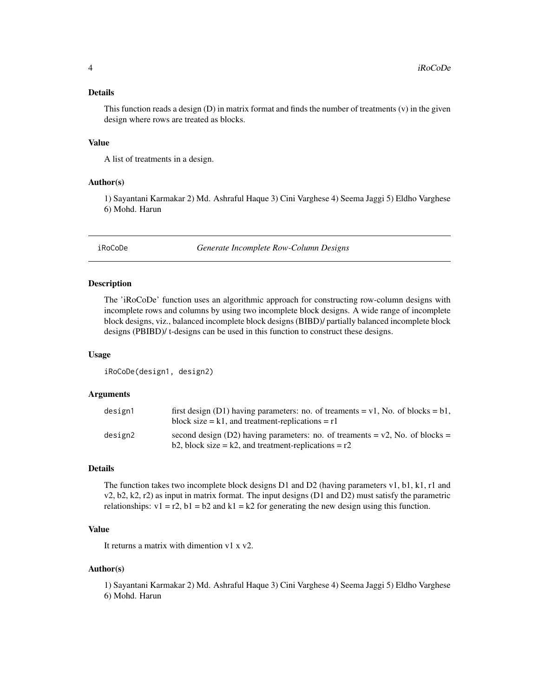#### <span id="page-3-0"></span>Details

This function reads a design (D) in matrix format and finds the number of treatments (v) in the given design where rows are treated as blocks.

#### Value

A list of treatments in a design.

#### Author(s)

1) Sayantani Karmakar 2) Md. Ashraful Haque 3) Cini Varghese 4) Seema Jaggi 5) Eldho Varghese 6) Mohd. Harun

iRoCoDe *Generate Incomplete Row-Column Designs*

#### Description

The 'iRoCoDe' function uses an algorithmic approach for constructing row-column designs with incomplete rows and columns by using two incomplete block designs. A wide range of incomplete block designs, viz., balanced incomplete block designs (BIBD)/ partially balanced incomplete block designs (PBIBD)/ t-designs can be used in this function to construct these designs.

#### Usage

iRoCoDe(design1, design2)

#### Arguments

| design1 | first design (D1) having parameters: no. of treaments = $v1$ , No. of blocks = b1,<br>block size $= k1$ , and treatment-replications $= r1$  |
|---------|----------------------------------------------------------------------------------------------------------------------------------------------|
| design2 | second design (D2) having parameters: no. of treaments = $v2$ , No. of blocks =<br>b2, block size = $k2$ , and treatment-replications = $r2$ |

#### Details

The function takes two incomplete block designs D1 and D2 (having parameters v1, b1, k1, r1 and v2, b2, k2, r2) as input in matrix format. The input designs (D1 and D2) must satisfy the parametric relationships:  $v1 = r2$ ,  $b1 = b2$  and  $k1 = k2$  for generating the new design using this function.

#### Value

It returns a matrix with dimention v1 x v2.

#### Author(s)

1) Sayantani Karmakar 2) Md. Ashraful Haque 3) Cini Varghese 4) Seema Jaggi 5) Eldho Varghese 6) Mohd. Harun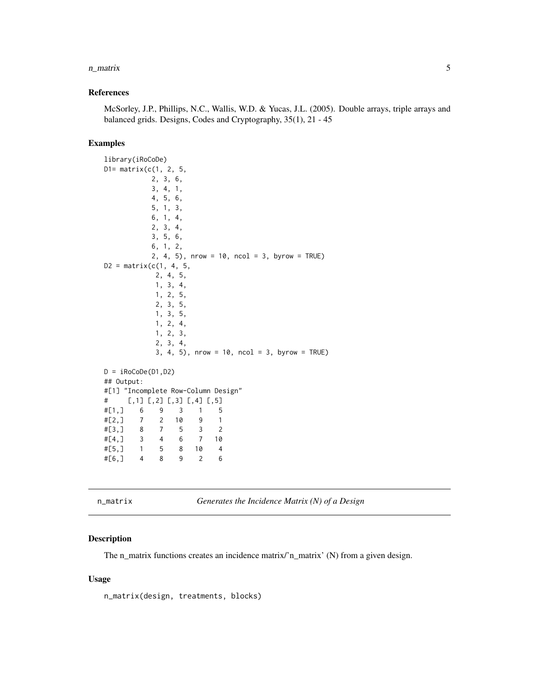#### <span id="page-4-0"></span>n\_matrix 5

#### References

McSorley, J.P., Phillips, N.C., Wallis, W.D. & Yucas, J.L. (2005). Double arrays, triple arrays and balanced grids. Designs, Codes and Cryptography, 35(1), 21 - 45

#### Examples

```
library(iRoCoDe)
D1 = matrix(c(1, 2, 5,2, 3, 6,
          3, 4, 1,
          4, 5, 6,
          5, 1, 3,
          6, 1, 4,
          2, 3, 4,
          3, 5, 6,
          6, 1, 2,
          2, 4, 5), nrow = 10, ncol = 3, byrow = TRUE)
D2 = matrix(c(1, 4, 5,2, 4, 5,
           1, 3, 4,
           1, 2, 5,
           2, 3, 5,
           1, 3, 5,
           1, 2, 4,
           1, 2, 3,
           2, 3, 4,
           3, 4, 5, nrow = 10, ncol = 3, byrow = TRUE)
D = iRoCoDe(D1, D2)## Output:
#[1] "Incomplete Row-Column Design"
# [,1] [,2] [,3] [,4] [,5]
#[1,] 6 9 3 1 5
#[2,] 7 2 10 9 1
#[3,] 8 7 5 3 2
#[4,] 3 4 6 7 10
#[5,] 1 5 8 10 4
#[6,] 4 8 9 2 6
```
n\_matrix *Generates the Incidence Matrix (N) of a Design*

#### Description

The n\_matrix functions creates an incidence matrix/'n\_matrix' (N) from a given design.

#### Usage

n\_matrix(design, treatments, blocks)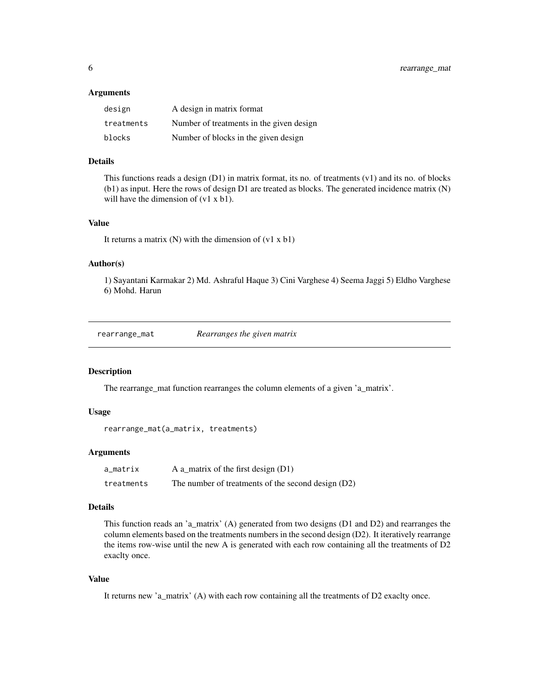#### <span id="page-5-0"></span>**Arguments**

| design     | A design in matrix format                |
|------------|------------------------------------------|
| treatments | Number of treatments in the given design |
| blocks     | Number of blocks in the given design     |

#### Details

This functions reads a design  $(D1)$  in matrix format, its no. of treatments  $(v1)$  and its no. of blocks (b1) as input. Here the rows of design D1 are treated as blocks. The generated incidence matrix (N) will have the dimension of (v1 x b1).

#### Value

It returns a matrix  $(N)$  with the dimension of  $(v1 \times b1)$ 

#### Author(s)

1) Sayantani Karmakar 2) Md. Ashraful Haque 3) Cini Varghese 4) Seema Jaggi 5) Eldho Varghese 6) Mohd. Harun

rearrange\_mat *Rearranges the given matrix*

#### Description

The rearrange\_mat function rearranges the column elements of a given 'a\_matrix'.

#### Usage

```
rearrange_mat(a_matrix, treatments)
```
#### Arguments

| a_matrix   | A a_matrix of the first design $(D1)$              |
|------------|----------------------------------------------------|
| treatments | The number of treatments of the second design (D2) |

#### Details

This function reads an 'a\_matrix' (A) generated from two designs (D1 and D2) and rearranges the column elements based on the treatments numbers in the second design (D2). It iteratively rearrange the items row-wise until the new A is generated with each row containing all the treatments of D2 exaclty once.

#### Value

It returns new 'a\_matrix' (A) with each row containing all the treatments of D2 exaclty once.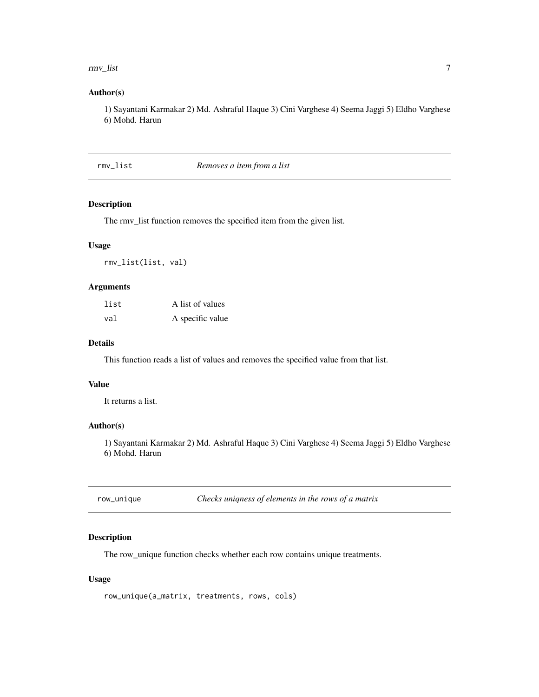#### <span id="page-6-0"></span>rmv\_list 7

#### Author(s)

1) Sayantani Karmakar 2) Md. Ashraful Haque 3) Cini Varghese 4) Seema Jaggi 5) Eldho Varghese 6) Mohd. Harun

rmv\_list *Removes a item from a list*

#### Description

The rmv\_list function removes the specified item from the given list.

#### Usage

rmv\_list(list, val)

#### Arguments

| list | A list of values |
|------|------------------|
| val  | A specific value |

#### Details

This function reads a list of values and removes the specified value from that list.

#### Value

It returns a list.

#### Author(s)

1) Sayantani Karmakar 2) Md. Ashraful Haque 3) Cini Varghese 4) Seema Jaggi 5) Eldho Varghese 6) Mohd. Harun

row\_unique *Checks uniqness of elements in the rows of a matrix*

#### Description

The row\_unique function checks whether each row contains unique treatments.

#### Usage

row\_unique(a\_matrix, treatments, rows, cols)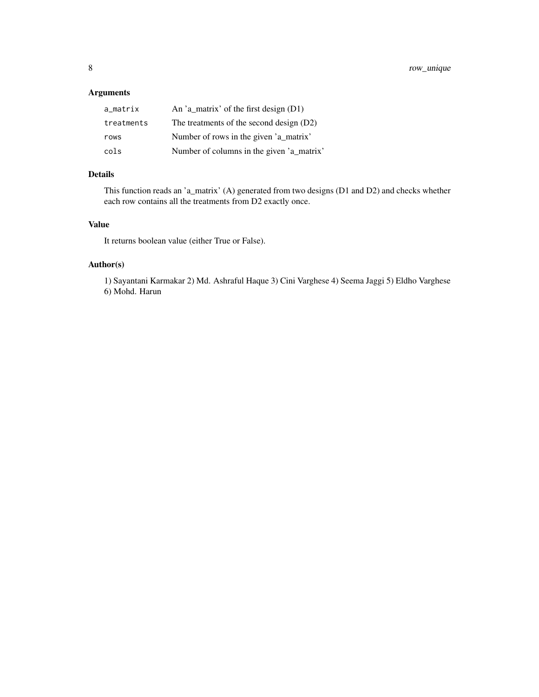#### Arguments

| a matrix   | An 'a_matrix' of the first design $(D1)$  |
|------------|-------------------------------------------|
| treatments | The treatments of the second design (D2)  |
| rows       | Number of rows in the given 'a_matrix'    |
| cols       | Number of columns in the given 'a_matrix' |

#### Details

This function reads an 'a\_matrix' (A) generated from two designs (D1 and D2) and checks whether each row contains all the treatments from D2 exactly once.

#### Value

It returns boolean value (either True or False).

#### Author(s)

1) Sayantani Karmakar 2) Md. Ashraful Haque 3) Cini Varghese 4) Seema Jaggi 5) Eldho Varghese 6) Mohd. Harun